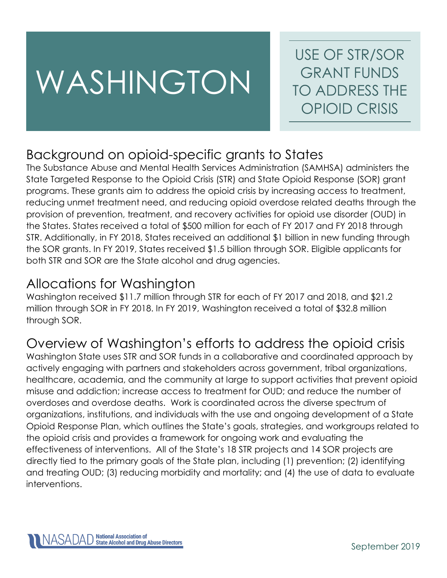# WASHINGTON

USE OF STR/SOR GRANT FUNDS TO ADDRESS THE OPIOID CRISIS

# Background on opioid-specific grants to States

The Substance Abuse and Mental Health Services Administration (SAMHSA) administers the State Targeted Response to the Opioid Crisis (STR) and State Opioid Response (SOR) grant programs. These grants aim to address the opioid crisis by increasing access to treatment, reducing unmet treatment need, and reducing opioid overdose related deaths through the provision of prevention, treatment, and recovery activities for opioid use disorder (OUD) in the States. States received a total of \$500 million for each of FY 2017 and FY 2018 through STR. Additionally, in FY 2018, States received an additional \$1 billion in new funding through the SOR grants. In FY 2019, States received \$1.5 billion through SOR. Eligible applicants for both STR and SOR are the State alcohol and drug agencies.

# Allocations for Washington

Washington received \$11.7 million through STR for each of FY 2017 and 2018, and \$21.2 million through SOR in FY 2018. In FY 2019, Washington received a total of \$32.8 million through SOR.

# Overview of Washington's efforts to address the opioid crisis

Washington State uses STR and SOR funds in a collaborative and coordinated approach by actively engaging with partners and stakeholders across government, tribal organizations, healthcare, academia, and the community at large to support activities that prevent opioid misuse and addiction; increase access to treatment for OUD; and reduce the number of overdoses and overdose deaths. Work is coordinated across the diverse spectrum of organizations, institutions, and individuals with the use and ongoing development of a State Opioid Response Plan, which outlines the State's goals, strategies, and workgroups related to the opioid crisis and provides a framework for ongoing work and evaluating the effectiveness of interventions. All of the State's 18 STR projects and 14 SOR projects are directly tied to the primary goals of the State plan, including (1) prevention; (2) identifying and treating OUD; (3) reducing morbidity and mortality; and (4) the use of data to evaluate interventions.

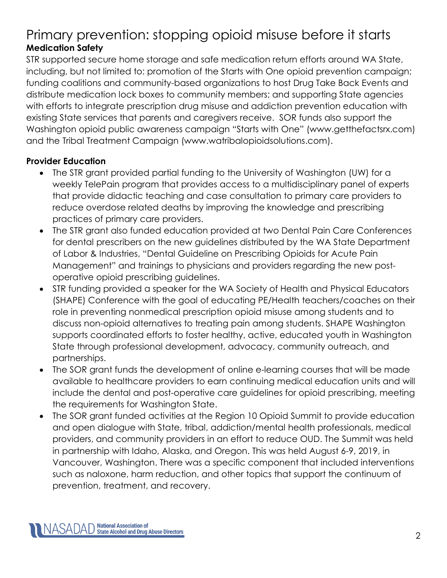## Primary prevention: stopping opioid misuse before it starts **Medication Safety**

STR supported secure home storage and safe medication return efforts around WA State, including, but not limited to: promotion of the Starts with One opioid prevention campaign; funding coalitions and community-based organizations to host Drug Take Back Events and distribute medication lock boxes to community members; and supporting State agencies with efforts to integrate prescription drug misuse and addiction prevention education with existing State services that parents and caregivers receive. SOR funds also support the Washington opioid public awareness campaign "Starts with One" (www.getthefactsrx.com) and the Tribal Treatment Campaign (www.watribalopioidsolutions.com).

#### **Provider Education**

- The STR grant provided partial funding to the University of Washington (UW) for a weekly TelePain program that provides access to a multidisciplinary panel of experts that provide didactic teaching and case consultation to primary care providers to reduce overdose related deaths by improving the knowledge and prescribing practices of primary care providers.
- The STR grant also funded education provided at two Dental Pain Care Conferences for dental prescribers on the new guidelines distributed by the WA State Department of Labor & Industries, "Dental Guideline on Prescribing Opioids for Acute Pain Management" and trainings to physicians and providers regarding the new postoperative opioid prescribing guidelines.
- STR funding provided a speaker for the WA Society of Health and Physical Educators (SHAPE) Conference with the goal of educating PE/Health teachers/coaches on their role in preventing nonmedical prescription opioid misuse among students and to discuss non-opioid alternatives to treating pain among students. SHAPE Washington supports coordinated efforts to foster healthy, active, educated youth in Washington State through professional development, advocacy, community outreach, and partnerships.
- The SOR grant funds the development of online e-learning courses that will be made available to healthcare providers to earn continuing medical education units and will include the dental and post-operative care guidelines for opioid prescribing, meeting the requirements for Washington State.
- The SOR grant funded activities at the Region 10 Opioid Summit to provide education and open dialogue with State, tribal, addiction/mental health professionals, medical providers, and community providers in an effort to reduce OUD. The Summit was held in partnership with Idaho, Alaska, and Oregon. This was held August 6-9, 2019, in Vancouver, Washington. There was a specific component that included interventions such as naloxone, harm reduction, and other topics that support the continuum of prevention, treatment, and recovery.

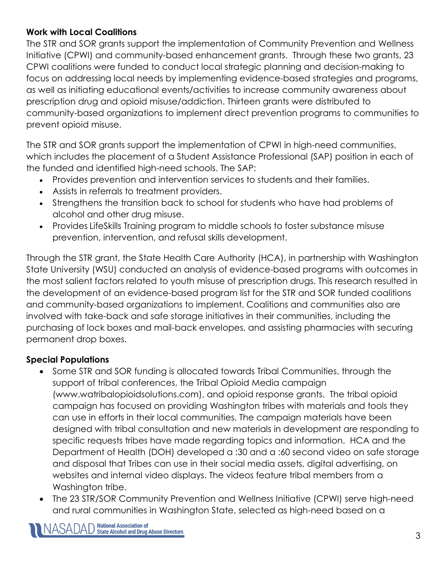#### **Work with Local Coalitions**

The STR and SOR grants support the implementation of Community Prevention and Wellness Initiative (CPWI) and community-based enhancement grants. Through these two grants, 23 CPWI coalitions were funded to conduct local strategic planning and decision-making to focus on addressing local needs by implementing evidence-based strategies and programs, as well as initiating educational events/activities to increase community awareness about prescription drug and opioid misuse/addiction. Thirteen grants were distributed to community-based organizations to implement direct prevention programs to communities to prevent opioid misuse.

The STR and SOR grants support the implementation of CPWI in high-need communities, which includes the placement of a Student Assistance Professional (SAP) position in each of the funded and identified high-need schools. The SAP:

- Provides prevention and intervention services to students and their families.
- Assists in referrals to treatment providers.
- Strengthens the transition back to school for students who have had problems of alcohol and other drug misuse.
- Provides LifeSkills Training program to middle schools to foster substance misuse prevention, intervention, and refusal skills development.

Through the STR grant, the State Health Care Authority (HCA), in partnership with Washington State University (WSU) conducted an analysis of evidence-based programs with outcomes in the most salient factors related to youth misuse of prescription drugs. This research resulted in the development of an evidence-based program list for the STR and SOR funded coalitions and community-based organizations to implement. Coalitions and communities also are involved with take-back and safe storage initiatives in their communities, including the purchasing of lock boxes and mail-back envelopes, and assisting pharmacies with securing permanent drop boxes.

### **Special Populations**

- Some STR and SOR funding is allocated towards Tribal Communities, through the support of tribal conferences, the Tribal Opioid Media campaign (www.watribalopioidsolutions.com), and opioid response grants. The tribal opioid campaign has focused on providing Washington tribes with materials and tools they can use in efforts in their local communities. The campaign materials have been designed with tribal consultation and new materials in development are responding to specific requests tribes have made regarding topics and information. HCA and the Department of Health (DOH) developed a :30 and a :60 second video on safe storage and disposal that Tribes can use in their social media assets, digital advertising, on websites and internal video displays. The videos feature tribal members from a Washington tribe.
- The 23 STR/SOR Community Prevention and Wellness Initiative (CPWI) serve high-need and rural communities in Washington State, selected as high-need based on a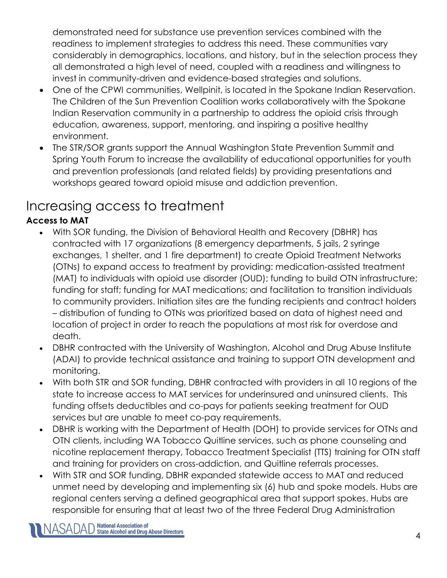demonstrated need for substance use prevention services combined with the readiness to implement strategies to address this need. These communities vary considerably in demographics, locations, and history, but in the selection process they all demonstrated a high level of need, coupled with a readiness and willingness to invest in community-driven and evidence-based strategies and solutions.

- One of the CPWI communities, Wellpinit, is located in the Spokane Indian Reservation. The Children of the Sun Prevention Coalition works collaboratively with the Spokane Indian Reservation community in a partnership to address the opioid crisis through education, awareness, support, mentoring, and inspiring a positive healthy environment.
- The STR/SOR grants support the Annual Washington State Prevention Summit and Spring Youth Forum to increase the availability of educational opportunities for youth and prevention professionals (and related fields) by providing presentations and workshops geared toward opioid misuse and addiction prevention.

# Increasing access to treatment

## **Access to MAT**

- With SOR funding, the Division of Behavioral Health and Recovery (DBHR) has contracted with 17 organizations (8 emergency departments, 5 jails, 2 syringe exchanges, 1 shelter, and 1 fire department) to create Opioid Treatment Networks (OTNs) to expand access to treatment by providing: medication-assisted treatment (MAT) to individuals with opioid use disorder (OUD); funding to build OTN infrastructure; funding for staff; funding for MAT medications; and facilitation to transition individuals to community providers. Initiation sites are the funding recipients and contract holders – distribution of funding to OTNs was prioritized based on data of highest need and location of project in order to reach the populations at most risk for overdose and death.
- DBHR contracted with the University of Washington, Alcohol and Drug Abuse Institute (ADAI) to provide technical assistance and training to support OTN development and monitoring.
- With both STR and SOR funding, DBHR contracted with providers in all 10 regions of the state to increase access to MAT services for underinsured and uninsured clients. This funding offsets deductibles and co-pays for patients seeking treatment for OUD services but are unable to meet co-pay requirements.
- DBHR is working with the Department of Health (DOH) to provide services for OTNs and OTN clients, including WA Tobacco Quitline services, such as phone counseling and nicotine replacement therapy, Tobacco Treatment Specialist (TTS) training for OTN staff and training for providers on cross-addiction, and Quitline referrals processes.
- With STR and SOR funding, DBHR expanded statewide access to MAT and reduced unmet need by developing and implementing six (6) hub and spoke models. Hubs are regional centers serving a defined geographical area that support spokes. Hubs are responsible for ensuring that at least two of the three Federal Drug Administration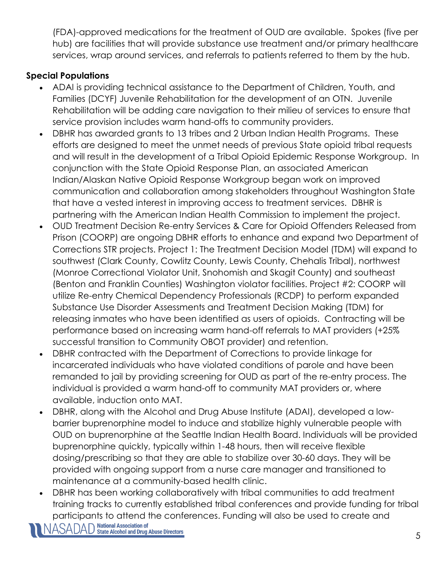(FDA)-approved medications for the treatment of OUD are available. Spokes (five per hub) are facilities that will provide substance use treatment and/or primary healthcare services, wrap around services, and referrals to patients referred to them by the hub.

## **Special Populations**

- ADAI is providing technical assistance to the Department of Children, Youth, and Families (DCYF) Juvenile Rehabilitation for the development of an OTN. Juvenile Rehabilitation will be adding care navigation to their milieu of services to ensure that service provision includes warm hand-offs to community providers.
- DBHR has awarded grants to 13 tribes and 2 Urban Indian Health Programs. These efforts are designed to meet the unmet needs of previous State opioid tribal requests and will result in the development of a Tribal Opioid Epidemic Response Workgroup. In conjunction with the State Opioid Response Plan, an associated American Indian/Alaskan Native Opioid Response Workgroup began work on improved communication and collaboration among stakeholders throughout Washington State that have a vested interest in improving access to treatment services. DBHR is partnering with the American Indian Health Commission to implement the project.
- OUD Treatment Decision Re-entry Services & Care for Opioid Offenders Released from Prison (COORP) are ongoing DBHR efforts to enhance and expand two Department of Corrections STR projects. Project 1: The Treatment Decision Model (TDM) will expand to southwest (Clark County, Cowlitz County, Lewis County, Chehalis Tribal), northwest (Monroe Correctional Violator Unit, Snohomish and Skagit County) and southeast (Benton and Franklin Counties) Washington violator facilities. Project #2: COORP will utilize Re-entry Chemical Dependency Professionals (RCDP) to perform expanded Substance Use Disorder Assessments and Treatment Decision Making (TDM) for releasing inmates who have been identified as users of opioids. Contracting will be performance based on increasing warm hand-off referrals to MAT providers (+25% successful transition to Community OBOT provider) and retention.
- DBHR contracted with the Department of Corrections to provide linkage for incarcerated individuals who have violated conditions of parole and have been remanded to jail by providing screening for OUD as part of the re-entry process. The individual is provided a warm hand-off to community MAT providers or, where available, induction onto MAT.
- DBHR, along with the Alcohol and Drug Abuse Institute (ADAI), developed a lowbarrier buprenorphine model to induce and stabilize highly vulnerable people with OUD on buprenorphine at the Seattle Indian Health Board. Individuals will be provided buprenorphine quickly, typically within 1-48 hours, then will receive flexible dosing/prescribing so that they are able to stabilize over 30-60 days. They will be provided with ongoing support from a nurse care manager and transitioned to maintenance at a community-based health clinic.
- DBHR has been working collaboratively with tribal communities to add treatment training tracks to currently established tribal conferences and provide funding for tribal participants to attend the conferences. Funding will also be used to create and<br>NASADAD State Alcohol and Drug Abuse Directors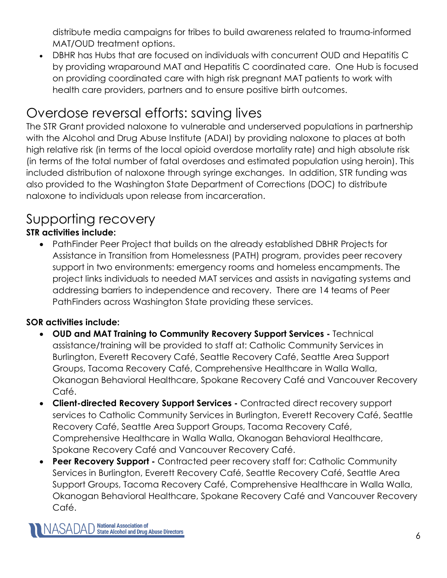distribute media campaigns for tribes to build awareness related to trauma-informed MAT/OUD treatment options.

• DBHR has Hubs that are focused on individuals with concurrent OUD and Hepatitis C by providing wraparound MAT and Hepatitis C coordinated care. One Hub is focused on providing coordinated care with high risk pregnant MAT patients to work with health care providers, partners and to ensure positive birth outcomes.

# Overdose reversal efforts: saving lives

The STR Grant provided naloxone to vulnerable and underserved populations in partnership with the Alcohol and Drug Abuse Institute (ADAI) by providing naloxone to places at both high relative risk (in terms of the local opioid overdose mortality rate) and high absolute risk (in terms of the total number of fatal overdoses and estimated population using heroin). This included distribution of naloxone through syringe exchanges. In addition, STR funding was also provided to the Washington State Department of Corrections (DOC) to distribute naloxone to individuals upon release from incarceration.

## Supporting recovery

## **STR activities include:**

• PathFinder Peer Project that builds on the already established DBHR Projects for Assistance in Transition from Homelessness (PATH) program, provides peer recovery support in two environments: emergency rooms and homeless encampments. The project links individuals to needed MAT services and assists in navigating systems and addressing barriers to independence and recovery. There are 14 teams of Peer PathFinders across Washington State providing these services.

## **SOR activities include:**

- **OUD and MAT Training to Community Recovery Support Services -** Technical assistance/training will be provided to staff at: Catholic Community Services in Burlington, Everett Recovery Café, Seattle Recovery Café, Seattle Area Support Groups, Tacoma Recovery Café, Comprehensive Healthcare in Walla Walla, Okanogan Behavioral Healthcare, Spokane Recovery Café and Vancouver Recovery Café.
- **Client-directed Recovery Support Services -** Contracted direct recovery support services to Catholic Community Services in Burlington, Everett Recovery Café, Seattle Recovery Café, Seattle Area Support Groups, Tacoma Recovery Café, Comprehensive Healthcare in Walla Walla, Okanogan Behavioral Healthcare, Spokane Recovery Café and Vancouver Recovery Café.
- **Peer Recovery Support -** Contracted peer recovery staff for: Catholic Community Services in Burlington, Everett Recovery Café, Seattle Recovery Café, Seattle Area Support Groups, Tacoma Recovery Café, Comprehensive Healthcare in Walla Walla, Okanogan Behavioral Healthcare, Spokane Recovery Café and Vancouver Recovery Café.